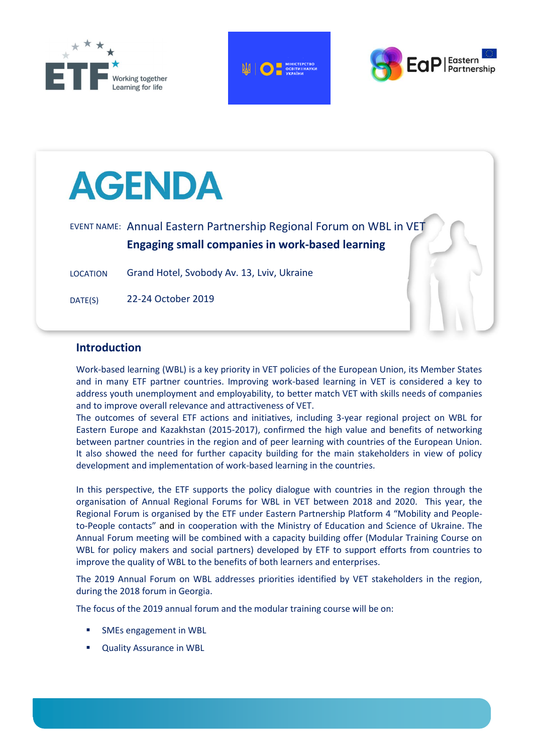







### **Introduction**

Work-based learning (WBL) is a key priority in VET policies of the European Union, its Member States and in many ETF partner countries. Improving work-based learning in VET is considered a key to address youth unemployment and employability, to better match VET with skills needs of companies and to improve overall relevance and attractiveness of VET.

The outcomes of several ETF actions and initiatives, including 3-year regional project on WBL for Eastern Europe and Kazakhstan (2015-2017), confirmed the high value and benefits of networking between partner countries in the region and of peer learning with countries of the European Union. It also showed the need for further capacity building for the main stakeholders in view of policy development and implementation of work-based learning in the countries.

In this perspective, the ETF supports the policy dialogue with countries in the region through the organisation of Annual Regional Forums for WBL in VET between 2018 and 2020. This year, the Regional Forum is organised by the ETF under Eastern Partnership Platform 4 "Mobility and Peopleto-People contacts" and in cooperation with the Ministry of Education and Science of Ukraine. The Annual Forum meeting will be combined with a capacity building offer (Modular Training Course on WBL for policy makers and social partners) developed by ETF to support efforts from countries to improve the quality of WBL to the benefits of both learners and enterprises.

The 2019 Annual Forum on WBL addresses priorities identified by VET stakeholders in the region, during the 2018 forum in Georgia.

The focus of the 2019 annual forum and the modular training course will be on:

- SMEs engagement in WBL
- Quality Assurance in WBL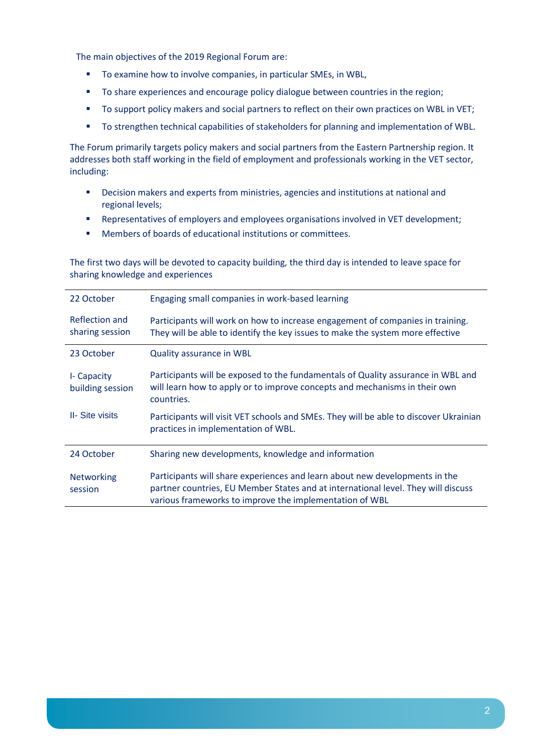The main objectives of the 2019 Regional Forum are:

- To examine how to involve companies, in particular SMEs, in WBL,
- To share experiences and encourage policy dialogue between countries in the region;
- To support policy makers and social partners to reflect on their own practices on WBL in VET;
- To strengthen technical capabilities of stakeholders for planning and implementation of WBL.

The Forum primarily targets policy makers and social partners from the Eastern Partnership region. It addresses both staff working in the field of employment and professionals working in the VET sector, including:

- Decision makers and experts from ministries, agencies and institutions at national and regional levels;
- Representatives of employers and employees organisations involved in VET development;
- Members of boards of educational institutions or committees.

The first two days will be devoted to capacity building, the third day is intended to leave space for sharing knowledge and experiences

| 22 October                        | Engaging small companies in work-based learning                                                                                                                                                                             |
|-----------------------------------|-----------------------------------------------------------------------------------------------------------------------------------------------------------------------------------------------------------------------------|
| Reflection and<br>sharing session | Participants will work on how to increase engagement of companies in training.<br>They will be able to identify the key issues to make the system more effective                                                            |
| 23 October                        | Quality assurance in WBL                                                                                                                                                                                                    |
| I- Capacity<br>building session   | Participants will be exposed to the fundamentals of Quality assurance in WBL and<br>will learn how to apply or to improve concepts and mechanisms in their own<br>countries.                                                |
| <b>II-</b> Site visits            | Participants will visit VET schools and SMEs. They will be able to discover Ukrainian<br>practices in implementation of WBL.                                                                                                |
| 24 October                        | Sharing new developments, knowledge and information                                                                                                                                                                         |
| <b>Networking</b><br>session      | Participants will share experiences and learn about new developments in the<br>partner countries, EU Member States and at international level. They will discuss<br>various frameworks to improve the implementation of WBL |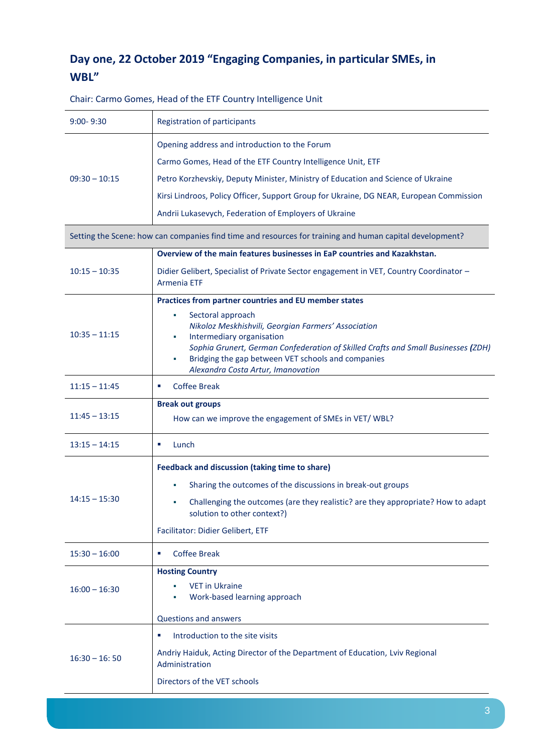## **Day one, 22 October 2019 "Engaging Companies, in particular SMEs, in WBL"**

| $9:00 - 9:30$   | <b>Registration of participants</b>                                                                                                                                                                                                                                                         |  |
|-----------------|---------------------------------------------------------------------------------------------------------------------------------------------------------------------------------------------------------------------------------------------------------------------------------------------|--|
|                 | Opening address and introduction to the Forum                                                                                                                                                                                                                                               |  |
|                 | Carmo Gomes, Head of the ETF Country Intelligence Unit, ETF                                                                                                                                                                                                                                 |  |
| $09:30 - 10:15$ | Petro Korzhevskiy, Deputy Minister, Ministry of Education and Science of Ukraine                                                                                                                                                                                                            |  |
|                 | Kirsi Lindroos, Policy Officer, Support Group for Ukraine, DG NEAR, European Commission                                                                                                                                                                                                     |  |
|                 | Andrii Lukasevych, Federation of Employers of Ukraine                                                                                                                                                                                                                                       |  |
|                 | Setting the Scene: how can companies find time and resources for training and human capital development?                                                                                                                                                                                    |  |
|                 | Overview of the main features businesses in EaP countries and Kazakhstan.                                                                                                                                                                                                                   |  |
| $10:15 - 10:35$ | Didier Gelibert, Specialist of Private Sector engagement in VET, Country Coordinator -<br><b>Armenia ETF</b>                                                                                                                                                                                |  |
|                 | Practices from partner countries and EU member states                                                                                                                                                                                                                                       |  |
| $10:35 - 11:15$ | Sectoral approach<br>Nikoloz Meskhishvili, Georgian Farmers' Association<br>Intermediary organisation<br>×<br>Sophia Grunert, German Confederation of Skilled Crafts and Small Businesses (ZDH)<br>Bridging the gap between VET schools and companies<br>Alexandra Costa Artur, Imanovation |  |
| $11:15 - 11:45$ | <b>Coffee Break</b><br>٠                                                                                                                                                                                                                                                                    |  |
| $11:45 - 13:15$ | <b>Break out groups</b><br>How can we improve the engagement of SMEs in VET/WBL?                                                                                                                                                                                                            |  |
| $13:15 - 14:15$ | Lunch<br>٠                                                                                                                                                                                                                                                                                  |  |
| $14:15 - 15:30$ | <b>Feedback and discussion (taking time to share)</b><br>Sharing the outcomes of the discussions in break-out groups<br>Challenging the outcomes (are they realistic? are they appropriate? How to adapt<br>solution to other context?)<br>Facilitator: Didier Gelibert, ETF                |  |
| $15:30 - 16:00$ | <b>Coffee Break</b><br>٠                                                                                                                                                                                                                                                                    |  |
| $16:00 - 16:30$ | <b>Hosting Country</b><br><b>VET in Ukraine</b><br>Work-based learning approach                                                                                                                                                                                                             |  |
|                 | <b>Questions and answers</b>                                                                                                                                                                                                                                                                |  |
| $16:30 - 16:50$ | ш<br>Introduction to the site visits<br>Andriy Haiduk, Acting Director of the Department of Education, Lviv Regional<br>Administration<br>Directors of the VET schools                                                                                                                      |  |

Chair: Carmo Gomes, Head of the ETF Country Intelligence Unit

 $\overline{\phantom{a}}$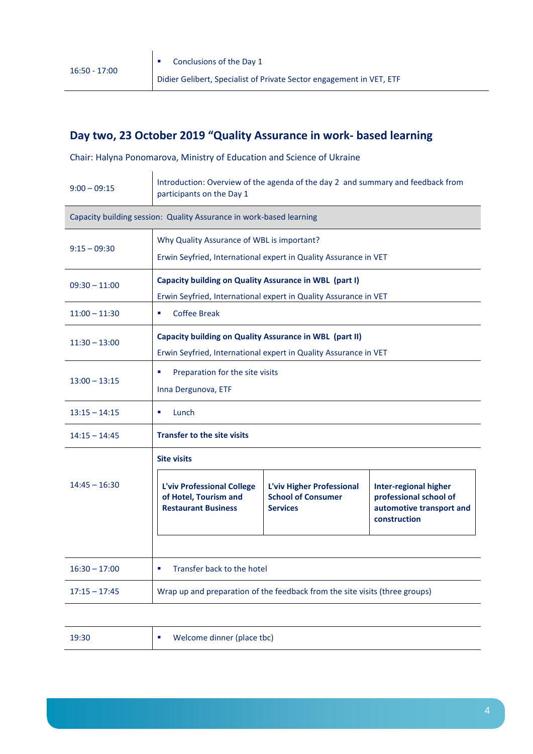## **Day two, 23 October 2019 "Quality Assurance in work- based learning**

Chair: Halyna Ponomarova, Ministry of Education and Science of Ukraine

| Introduction: Overview of the agenda of the day 2 and summary and feedback from<br>participants on the Day 1                |                                                                           |                                                                                                                |  |  |
|-----------------------------------------------------------------------------------------------------------------------------|---------------------------------------------------------------------------|----------------------------------------------------------------------------------------------------------------|--|--|
| Capacity building session: Quality Assurance in work-based learning                                                         |                                                                           |                                                                                                                |  |  |
|                                                                                                                             |                                                                           |                                                                                                                |  |  |
| Capacity building on Quality Assurance in WBL (part I)<br>Erwin Seyfried, International expert in Quality Assurance in VET  |                                                                           |                                                                                                                |  |  |
| <b>Coffee Break</b><br>u,                                                                                                   |                                                                           |                                                                                                                |  |  |
| Capacity building on Quality Assurance in WBL (part II)<br>Erwin Seyfried, International expert in Quality Assurance in VET |                                                                           |                                                                                                                |  |  |
| Preparation for the site visits<br>ш<br>Inna Dergunova, ETF                                                                 |                                                                           |                                                                                                                |  |  |
| a,<br>Lunch                                                                                                                 |                                                                           |                                                                                                                |  |  |
| <b>Transfer to the site visits</b>                                                                                          |                                                                           |                                                                                                                |  |  |
| <b>Site visits</b><br>L'viv Professional College<br>of Hotel, Tourism and<br><b>Restaurant Business</b>                     | L'viv Higher Professional<br><b>School of Consumer</b><br><b>Services</b> | <b>Inter-regional higher</b><br>professional school of<br>automotive transport and<br>construction             |  |  |
| Transfer back to the hotel<br>a,                                                                                            |                                                                           |                                                                                                                |  |  |
| Wrap up and preparation of the feedback from the site visits (three groups)                                                 |                                                                           |                                                                                                                |  |  |
|                                                                                                                             |                                                                           | Why Quality Assurance of WBL is important?<br>Erwin Seyfried, International expert in Quality Assurance in VET |  |  |

| 19:30 | Welcome dinner (place tbc) |  |
|-------|----------------------------|--|
|-------|----------------------------|--|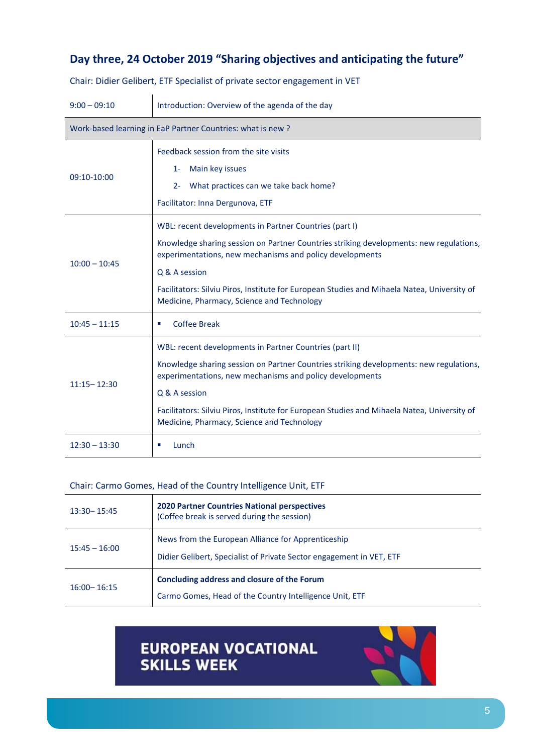### **Day three, 24 October 2019 "Sharing objectives and anticipating the future"**

| $9:00 - 09:10$                                             | Introduction: Overview of the agenda of the day                                                                                                                                                                                                                                                                                                                             |  |  |
|------------------------------------------------------------|-----------------------------------------------------------------------------------------------------------------------------------------------------------------------------------------------------------------------------------------------------------------------------------------------------------------------------------------------------------------------------|--|--|
| Work-based learning in EaP Partner Countries: what is new? |                                                                                                                                                                                                                                                                                                                                                                             |  |  |
| 09:10-10:00                                                | Feedback session from the site visits<br>Main key issues<br>$1 -$<br>What practices can we take back home?<br>$2 -$<br>Facilitator: Inna Dergunova, ETF                                                                                                                                                                                                                     |  |  |
| $10:00 - 10:45$                                            | WBL: recent developments in Partner Countries (part I)<br>Knowledge sharing session on Partner Countries striking developments: new regulations,<br>experimentations, new mechanisms and policy developments<br>Q & A session<br>Facilitators: Silviu Piros, Institute for European Studies and Mihaela Natea, University of<br>Medicine, Pharmacy, Science and Technology  |  |  |
| $10:45 - 11:15$                                            | <b>Coffee Break</b><br>٠                                                                                                                                                                                                                                                                                                                                                    |  |  |
| $11:15 - 12:30$                                            | WBL: recent developments in Partner Countries (part II)<br>Knowledge sharing session on Partner Countries striking developments: new regulations,<br>experimentations, new mechanisms and policy developments<br>Q & A session<br>Facilitators: Silviu Piros, Institute for European Studies and Mihaela Natea, University of<br>Medicine, Pharmacy, Science and Technology |  |  |
| $12:30 - 13:30$                                            | Lunch<br>ш                                                                                                                                                                                                                                                                                                                                                                  |  |  |

Chair: Didier Gelibert, ETF Specialist of private sector engagement in VET

### Chair: Carmo Gomes, Head of the Country Intelligence Unit, ETF

| $13:30 - 15:45$ | <b>2020 Partner Countries National perspectives</b><br>(Coffee break is served during the session)                         |
|-----------------|----------------------------------------------------------------------------------------------------------------------------|
| $15:45 - 16:00$ | News from the European Alliance for Apprenticeship<br>Didier Gelibert, Specialist of Private Sector engagement in VET, ETF |
| $16:00 - 16:15$ | Concluding address and closure of the Forum<br>Carmo Gomes, Head of the Country Intelligence Unit, ETF                     |

# EUROPEAN VOCATIONAL<br>SKILLS WEEK

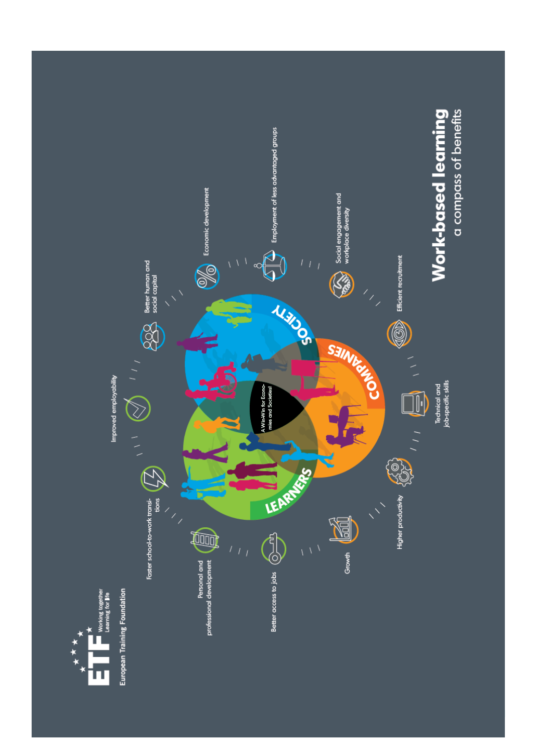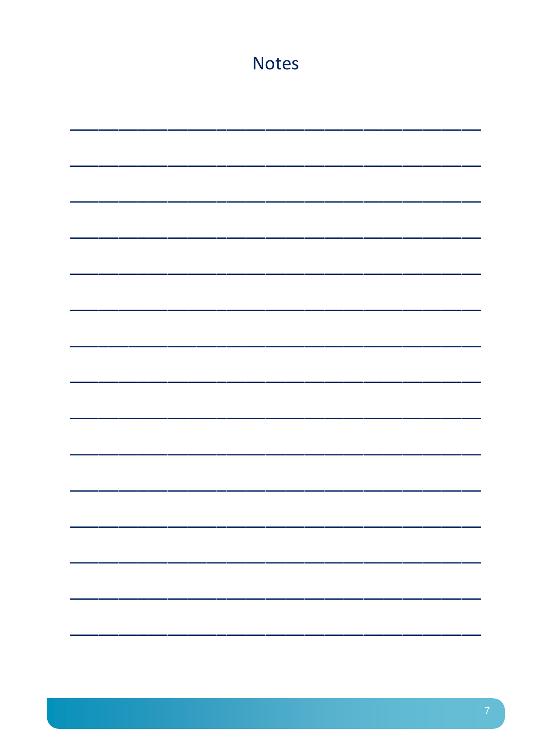| <b>Notes</b> |  |  |
|--------------|--|--|
|              |  |  |
|              |  |  |
|              |  |  |
|              |  |  |
|              |  |  |
|              |  |  |
|              |  |  |
|              |  |  |
|              |  |  |
|              |  |  |
|              |  |  |
|              |  |  |
|              |  |  |
|              |  |  |
|              |  |  |
|              |  |  |